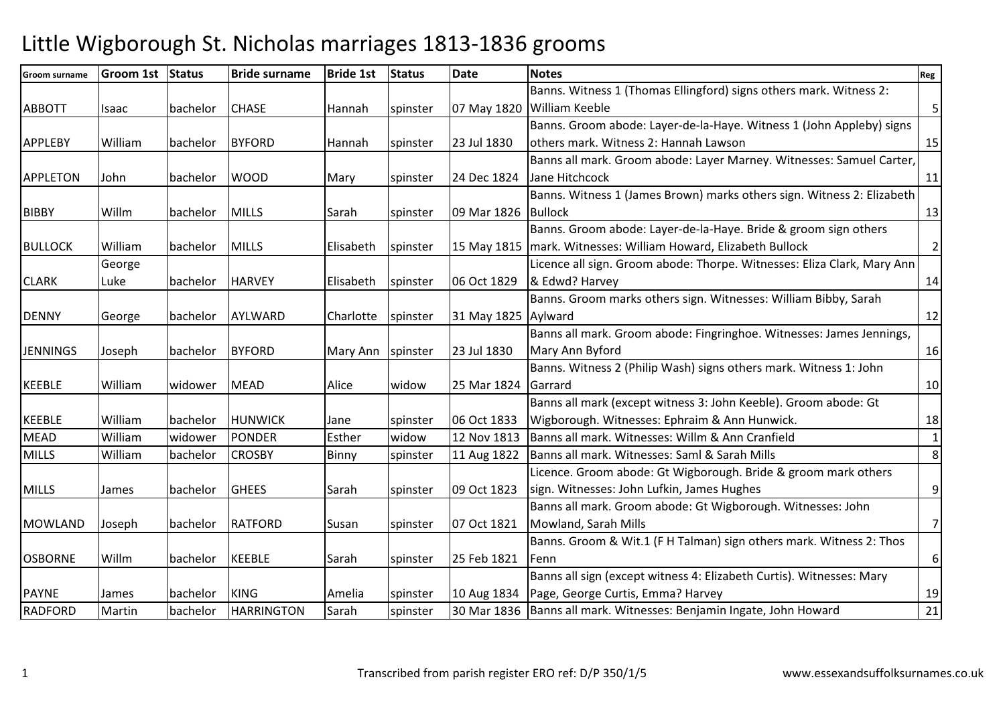## Little Wigborough St. Nicholas marriages 1813-1836 grooms

| Groom surname   | Groom 1st | Status   | <b>Bride surname</b> | <b>Bride 1st</b> | <b>Status</b> | <b>Date</b>         | <b>Notes</b>                                                            | Reg            |
|-----------------|-----------|----------|----------------------|------------------|---------------|---------------------|-------------------------------------------------------------------------|----------------|
|                 |           |          |                      |                  |               |                     | Banns. Witness 1 (Thomas Ellingford) signs others mark. Witness 2:      |                |
| <b>ABBOTT</b>   | Isaac     | bachelor | <b>CHASE</b>         | Hannah           | spinster      |                     | 07 May 1820 William Keeble                                              | 5 <sup>1</sup> |
|                 |           |          |                      |                  |               |                     | Banns. Groom abode: Layer-de-la-Haye. Witness 1 (John Appleby) signs    |                |
| <b>APPLEBY</b>  | William   | bachelor | <b>BYFORD</b>        | Hannah           | spinster      | 23 Jul 1830         | others mark. Witness 2: Hannah Lawson                                   | 15             |
|                 |           |          |                      |                  |               |                     | Banns all mark. Groom abode: Layer Marney. Witnesses: Samuel Carter,    |                |
| <b>APPLETON</b> | John      | bachelor | <b>WOOD</b>          | Mary             | spinster      | 24 Dec 1824         | Jane Hitchcock                                                          | 11             |
|                 |           |          |                      |                  |               |                     | Banns. Witness 1 (James Brown) marks others sign. Witness 2: Elizabeth  |                |
| <b>BIBBY</b>    | Willm     | bachelor | <b>MILLS</b>         | Sarah            | spinster      | 09 Mar 1826         | <b>Bullock</b>                                                          | 13             |
|                 |           |          |                      |                  |               |                     | Banns. Groom abode: Layer-de-la-Haye. Bride & groom sign others         |                |
| <b>BULLOCK</b>  | William   | bachelor | <b>MILLS</b>         | Elisabeth        | spinster      |                     | 15 May 1815   mark. Witnesses: William Howard, Elizabeth Bullock        | $\overline{2}$ |
|                 | George    |          |                      |                  |               |                     | Licence all sign. Groom abode: Thorpe. Witnesses: Eliza Clark, Mary Ann |                |
| <b>CLARK</b>    | Luke      | bachelor | <b>HARVEY</b>        | Elisabeth        | spinster      | 06 Oct 1829         | & Edwd? Harvey                                                          | 14             |
|                 |           |          |                      |                  |               |                     | Banns. Groom marks others sign. Witnesses: William Bibby, Sarah         |                |
| <b>DENNY</b>    | George    | bachelor | AYLWARD              | Charlotte        | spinster      | 31 May 1825 Aylward |                                                                         | 12             |
|                 |           |          |                      |                  |               |                     | Banns all mark. Groom abode: Fingringhoe. Witnesses: James Jennings,    |                |
| <b>JENNINGS</b> | Joseph    | bachelor | <b>BYFORD</b>        | Mary Ann         | spinster      | 23 Jul 1830         | Mary Ann Byford                                                         | 16             |
|                 |           |          |                      |                  |               |                     | Banns. Witness 2 (Philip Wash) signs others mark. Witness 1: John       |                |
| <b>KEEBLE</b>   | William   | widower  | <b>MEAD</b>          | Alice            | widow         | 25 Mar 1824         | Garrard                                                                 | 10             |
|                 |           |          |                      |                  |               |                     | Banns all mark (except witness 3: John Keeble). Groom abode: Gt         |                |
| <b>KEEBLE</b>   | William   | bachelor | <b>HUNWICK</b>       | Jane             | spinster      | 06 Oct 1833         | Wigborough. Witnesses: Ephraim & Ann Hunwick.                           | 18             |
| <b>MEAD</b>     | William   | widower  | <b>PONDER</b>        | Esther           | widow         | 12 Nov 1813         | Banns all mark. Witnesses: Willm & Ann Cranfield                        | $1\vert$       |
| <b>MILLS</b>    | William   | bachelor | <b>CROSBY</b>        | Binny            | spinster      | 11 Aug 1822         | Banns all mark. Witnesses: Saml & Sarah Mills                           | 8 <sup>1</sup> |
|                 |           |          |                      |                  |               |                     | Licence. Groom abode: Gt Wigborough. Bride & groom mark others          |                |
| <b>MILLS</b>    | James     | bachelor | <b>GHEES</b>         | Sarah            | spinster      | 09 Oct 1823         | sign. Witnesses: John Lufkin, James Hughes                              | $\overline{9}$ |
|                 |           |          |                      |                  |               |                     | Banns all mark. Groom abode: Gt Wigborough. Witnesses: John             |                |
| <b>MOWLAND</b>  | Joseph    | bachelor | <b>RATFORD</b>       | Susan            | spinster      | 07 Oct 1821         | Mowland, Sarah Mills                                                    | $\overline{7}$ |
|                 |           |          |                      |                  |               |                     | Banns. Groom & Wit.1 (F H Talman) sign others mark. Witness 2: Thos     |                |
| <b>OSBORNE</b>  | Willm     | bachelor | <b>KEEBLE</b>        | Sarah            | spinster      | 25 Feb 1821         | Fenn                                                                    | $6 \mid$       |
|                 |           |          |                      |                  |               |                     | Banns all sign (except witness 4: Elizabeth Curtis). Witnesses: Mary    |                |
| <b>PAYNE</b>    | James     | bachelor | <b>KING</b>          | Amelia           | spinster      | 10 Aug 1834         | Page, George Curtis, Emma? Harvey                                       | 19             |
| <b>RADFORD</b>  | Martin    | bachelor | <b>HARRINGTON</b>    | Sarah            | spinster      | 30 Mar 1836         | Banns all mark. Witnesses: Benjamin Ingate, John Howard                 | 21             |